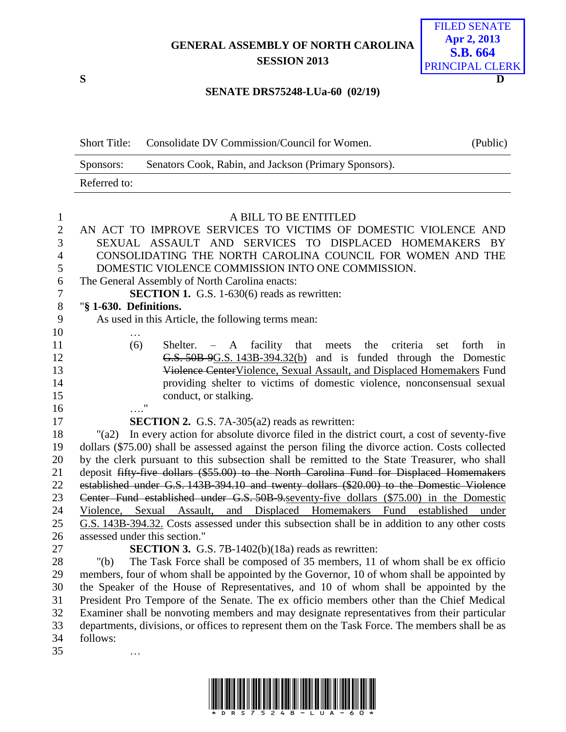## **GENERAL ASSEMBLY OF NORTH CAROLINA SESSION 2013**



## **SENATE DRS75248-LUa-60 (02/19)**

| <b>Short Title:</b> | Consolidate DV Commission/Council for Women.          | (Public) |
|---------------------|-------------------------------------------------------|----------|
| Sponsors:           | Senators Cook, Rabin, and Jackson (Primary Sponsors). |          |
| Referred to:        |                                                       |          |

| $\mathbf{1}$ | A BILL TO BE ENTITLED                                                                                     |  |  |  |  |  |
|--------------|-----------------------------------------------------------------------------------------------------------|--|--|--|--|--|
| $\mathbf{2}$ | AN ACT TO IMPROVE SERVICES TO VICTIMS OF DOMESTIC VIOLENCE AND                                            |  |  |  |  |  |
| 3            | SEXUAL ASSAULT AND SERVICES TO DISPLACED HOMEMAKERS BY                                                    |  |  |  |  |  |
| 4            | CONSOLIDATING THE NORTH CAROLINA COUNCIL FOR WOMEN AND THE                                                |  |  |  |  |  |
| 5            | DOMESTIC VIOLENCE COMMISSION INTO ONE COMMISSION.                                                         |  |  |  |  |  |
| 6            | The General Assembly of North Carolina enacts:                                                            |  |  |  |  |  |
| 7            | <b>SECTION 1.</b> G.S. 1-630(6) reads as rewritten:                                                       |  |  |  |  |  |
| $8\,$        | "§ 1-630. Definitions.                                                                                    |  |  |  |  |  |
| 9            | As used in this Article, the following terms mean:                                                        |  |  |  |  |  |
| 10           |                                                                                                           |  |  |  |  |  |
| 11           | (6)<br>Shelter. $-$ A facility that meets the<br>criteria<br>forth<br>set<br>in                           |  |  |  |  |  |
| 12           | G.S. 50B 9G.S. 143B-394.32(b) and is funded through the Domestic                                          |  |  |  |  |  |
| 13           | Violence Center Violence, Sexual Assault, and Displaced Homemakers Fund                                   |  |  |  |  |  |
| 14           | providing shelter to victims of domestic violence, nonconsensual sexual                                   |  |  |  |  |  |
| 15           | conduct, or stalking.                                                                                     |  |  |  |  |  |
| 16           | $^{\bullet}$                                                                                              |  |  |  |  |  |
| 17           | <b>SECTION 2.</b> G.S. 7A-305(a2) reads as rewritten:                                                     |  |  |  |  |  |
| 18           | In every action for absolute divorce filed in the district court, a cost of seventy-five<br>$"({\rm a}2)$ |  |  |  |  |  |
| 19           | dollars (\$75.00) shall be assessed against the person filing the divorce action. Costs collected         |  |  |  |  |  |
| 20           | by the clerk pursuant to this subsection shall be remitted to the State Treasurer, who shall              |  |  |  |  |  |
| 21           | deposit fifty-five dollars (\$55.00) to the North Carolina Fund for Displaced Homemakers                  |  |  |  |  |  |
| 22           | established under G.S. 143B-394.10 and twenty dollars (\$20.00) to the Domestic Violence                  |  |  |  |  |  |
| 23           | Center Fund established under G.S. 50B 9 seventy-five dollars (\$75.00) in the Domestic                   |  |  |  |  |  |
| 24           | Violence, Sexual Assault, and Displaced Homemakers Fund established<br>under                              |  |  |  |  |  |
| 25           | G.S. 143B-394.32. Costs assessed under this subsection shall be in addition to any other costs            |  |  |  |  |  |
| 26           | assessed under this section."                                                                             |  |  |  |  |  |
| 27           | <b>SECTION 3.</b> G.S. 7B-1402(b)(18a) reads as rewritten:                                                |  |  |  |  |  |
| 28           | The Task Force shall be composed of 35 members, 11 of whom shall be ex officio<br>" $(b)$                 |  |  |  |  |  |
| 29           | members, four of whom shall be appointed by the Governor, 10 of whom shall be appointed by                |  |  |  |  |  |
| 30           | the Speaker of the House of Representatives, and 10 of whom shall be appointed by the                     |  |  |  |  |  |
| 31           | President Pro Tempore of the Senate. The ex officio members other than the Chief Medical                  |  |  |  |  |  |
| 32           | Examiner shall be nonvoting members and may designate representatives from their particular               |  |  |  |  |  |
| 33           | departments, divisions, or offices to represent them on the Task Force. The members shall be as           |  |  |  |  |  |

- follows:
- …

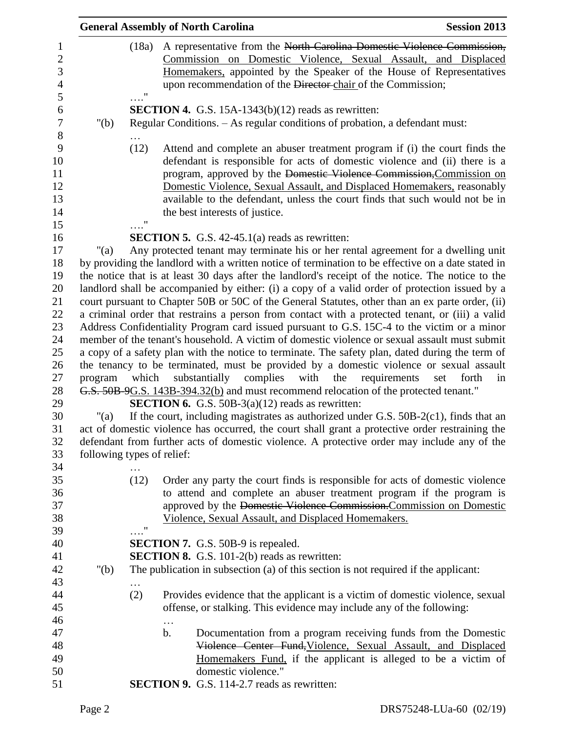|         |                             | <b>General Assembly of North Carolina</b>                                                                                                                                                                                                                                                                                                                                                                                     | <b>Session 2013</b>                |
|---------|-----------------------------|-------------------------------------------------------------------------------------------------------------------------------------------------------------------------------------------------------------------------------------------------------------------------------------------------------------------------------------------------------------------------------------------------------------------------------|------------------------------------|
|         | (18a)<br>$\pmb{\mathsf{H}}$ | A representative from the North Carolina Domestic Violence Commission,<br>Commission on Domestic Violence, Sexual Assault, and Displaced<br>Homemakers, appointed by the Speaker of the House of Representatives<br>upon recommendation of the Director chair of the Commission;                                                                                                                                              |                                    |
| " $(b)$ |                             | <b>SECTION 4.</b> G.S. $15A-1343(b)(12)$ reads as rewritten:<br>Regular Conditions. - As regular conditions of probation, a defendant must:                                                                                                                                                                                                                                                                                   |                                    |
|         | (12)<br>11                  | Attend and complete an abuser treatment program if (i) the court finds the<br>defendant is responsible for acts of domestic violence and (ii) there is a<br>program, approved by the Domestic Violence Commission, Commission on<br>Domestic Violence, Sexual Assault, and Displaced Homemakers, reasonably<br>available to the defendant, unless the court finds that such would not be in<br>the best interests of justice. |                                    |
|         |                             | <b>SECTION 5.</b> G.S. $42-45.1(a)$ reads as rewritten:                                                                                                                                                                                                                                                                                                                                                                       |                                    |
| "(a)    |                             | Any protected tenant may terminate his or her rental agreement for a dwelling unit                                                                                                                                                                                                                                                                                                                                            |                                    |
|         |                             | by providing the landlord with a written notice of termination to be effective on a date stated in                                                                                                                                                                                                                                                                                                                            |                                    |
|         |                             | the notice that is at least 30 days after the landlord's receipt of the notice. The notice to the                                                                                                                                                                                                                                                                                                                             |                                    |
|         |                             | landlord shall be accompanied by either: (i) a copy of a valid order of protection issued by a                                                                                                                                                                                                                                                                                                                                |                                    |
|         |                             | court pursuant to Chapter 50B or 50C of the General Statutes, other than an ex parte order, (ii)                                                                                                                                                                                                                                                                                                                              |                                    |
|         |                             | a criminal order that restrains a person from contact with a protected tenant, or (iii) a valid                                                                                                                                                                                                                                                                                                                               |                                    |
|         |                             | Address Confidentiality Program card issued pursuant to G.S. 15C-4 to the victim or a minor                                                                                                                                                                                                                                                                                                                                   |                                    |
|         |                             | member of the tenant's household. A victim of domestic violence or sexual assault must submit                                                                                                                                                                                                                                                                                                                                 |                                    |
|         |                             | a copy of a safety plan with the notice to terminate. The safety plan, dated during the term of                                                                                                                                                                                                                                                                                                                               |                                    |
|         |                             | the tenancy to be terminated, must be provided by a domestic violence or sexual assault                                                                                                                                                                                                                                                                                                                                       |                                    |
| program | which                       | substantially complies with<br>the                                                                                                                                                                                                                                                                                                                                                                                            | requirements<br>set<br>forth<br>in |
|         |                             | G.S. 50B-9G.S. 143B-394.32(b) and must recommend relocation of the protected tenant."                                                                                                                                                                                                                                                                                                                                         |                                    |
|         |                             | <b>SECTION 6.</b> G.S. 50B-3(a)(12) reads as rewritten:                                                                                                                                                                                                                                                                                                                                                                       |                                    |
| "(a)    |                             | If the court, including magistrates as authorized under G.S. 50B-2(c1), finds that an                                                                                                                                                                                                                                                                                                                                         |                                    |
|         |                             | act of domestic violence has occurred, the court shall grant a protective order restraining the                                                                                                                                                                                                                                                                                                                               |                                    |
|         |                             | defendant from further acts of domestic violence. A protective order may include any of the                                                                                                                                                                                                                                                                                                                                   |                                    |
|         | following types of relief:  |                                                                                                                                                                                                                                                                                                                                                                                                                               |                                    |
|         | (12)                        | Order any party the court finds is responsible for acts of domestic violence                                                                                                                                                                                                                                                                                                                                                  |                                    |
|         |                             | to attend and complete an abuser treatment program if the program is                                                                                                                                                                                                                                                                                                                                                          |                                    |
|         |                             | approved by the Domestic Violence Commission. Commission on Domestic                                                                                                                                                                                                                                                                                                                                                          |                                    |
|         |                             | Violence, Sexual Assault, and Displaced Homemakers.                                                                                                                                                                                                                                                                                                                                                                           |                                    |
|         | $^{\bullet}$                |                                                                                                                                                                                                                                                                                                                                                                                                                               |                                    |
|         |                             | <b>SECTION 7.</b> G.S. 50B-9 is repealed.                                                                                                                                                                                                                                                                                                                                                                                     |                                    |
|         |                             | <b>SECTION 8.</b> G.S. 101-2(b) reads as rewritten:                                                                                                                                                                                                                                                                                                                                                                           |                                    |
| " $(b)$ |                             | The publication in subsection (a) of this section is not required if the applicant:                                                                                                                                                                                                                                                                                                                                           |                                    |
|         |                             |                                                                                                                                                                                                                                                                                                                                                                                                                               |                                    |
|         | (2)                         | Provides evidence that the applicant is a victim of domestic violence, sexual                                                                                                                                                                                                                                                                                                                                                 |                                    |
|         |                             | offense, or stalking. This evidence may include any of the following:                                                                                                                                                                                                                                                                                                                                                         |                                    |
|         | $\cdots$                    |                                                                                                                                                                                                                                                                                                                                                                                                                               |                                    |
|         | b.                          | Documentation from a program receiving funds from the Domestic                                                                                                                                                                                                                                                                                                                                                                |                                    |
|         |                             | Violence Center Fund, Violence, Sexual Assault, and Displaced                                                                                                                                                                                                                                                                                                                                                                 |                                    |
|         |                             | Homemakers Fund, if the applicant is alleged to be a victim of                                                                                                                                                                                                                                                                                                                                                                |                                    |
|         |                             | domestic violence."                                                                                                                                                                                                                                                                                                                                                                                                           |                                    |
|         |                             | <b>SECTION 9.</b> G.S. 114-2.7 reads as rewritten:                                                                                                                                                                                                                                                                                                                                                                            |                                    |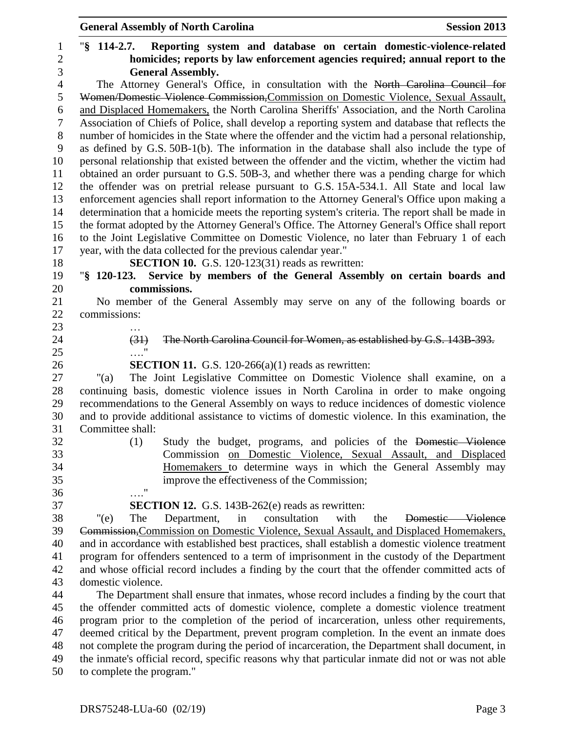|                | <b>General Assembly of North Carolina</b><br><b>Session 2013</b>                                                                        |
|----------------|-----------------------------------------------------------------------------------------------------------------------------------------|
| $\mathbf{1}$   | $\sqrt{8}$ 114-2.7.<br>Reporting system and database on certain domestic-violence-related                                               |
| $\overline{c}$ | homicides; reports by law enforcement agencies required; annual report to the                                                           |
| 3              | <b>General Assembly.</b>                                                                                                                |
| $\overline{4}$ | The Attorney General's Office, in consultation with the North Carolina Council for                                                      |
| 5              | Women/Domestic Violence Commission, Commission on Domestic Violence, Sexual Assault,                                                    |
| 6              | and Displaced Homemakers, the North Carolina Sheriffs' Association, and the North Carolina                                              |
| $\tau$         | Association of Chiefs of Police, shall develop a reporting system and database that reflects the                                        |
| $8\,$          | number of homicides in the State where the offender and the victim had a personal relationship,                                         |
| 9              | as defined by G.S. 50B-1(b). The information in the database shall also include the type of                                             |
| 10             | personal relationship that existed between the offender and the victim, whether the victim had                                          |
| 11             | obtained an order pursuant to G.S. 50B-3, and whether there was a pending charge for which                                              |
| 12             | the offender was on pretrial release pursuant to G.S. 15A-534.1. All State and local law                                                |
| 13             | enforcement agencies shall report information to the Attorney General's Office upon making a                                            |
| 14             | determination that a homicide meets the reporting system's criteria. The report shall be made in                                        |
| 15             | the format adopted by the Attorney General's Office. The Attorney General's Office shall report                                         |
| 16             | to the Joint Legislative Committee on Domestic Violence, no later than February 1 of each                                               |
| 17             | year, with the data collected for the previous calendar year."                                                                          |
| 18<br>19       | <b>SECTION 10.</b> G.S. 120-123(31) reads as rewritten:<br>"§ 120-123. Service by members of the General Assembly on certain boards and |
| 20             | commissions.                                                                                                                            |
| 21             | No member of the General Assembly may serve on any of the following boards or                                                           |
| 22             | commissions:                                                                                                                            |
| 23             |                                                                                                                                         |
| 24             | The North Carolina Council for Women, as established by G.S. 143B-393.<br>(31)                                                          |
| 25             |                                                                                                                                         |
| 26             | <b>SECTION 11.</b> G.S. 120-266(a)(1) reads as rewritten:                                                                               |
| 27             | The Joint Legislative Committee on Domestic Violence shall examine, on a<br>" $(a)$                                                     |
| 28             | continuing basis, domestic violence issues in North Carolina in order to make ongoing                                                   |
| 29             | recommendations to the General Assembly on ways to reduce incidences of domestic violence                                               |
| 30             | and to provide additional assistance to victims of domestic violence. In this examination, the                                          |
| 31             | Committee shall:                                                                                                                        |
| 32             | (1)<br>Study the budget, programs, and policies of the Domestic Violence                                                                |
| 33             | Commission on Domestic Violence, Sexual Assault, and Displaced                                                                          |
| 34             | Homemakers to determine ways in which the General Assembly may                                                                          |
| 35<br>36       | improve the effectiveness of the Commission;<br>$\pmb{\mathsf{H}}$                                                                      |
| 37             | <b>SECTION 12.</b> G.S. 143B-262(e) reads as rewritten:                                                                                 |
| 38             | " $(e)$<br>consultation<br>with<br>Department,<br>the<br>Domestic Violence<br>The<br>in                                                 |
| 39             | Commission, Commission on Domestic Violence, Sexual Assault, and Displaced Homemakers,                                                  |
| 40             | and in accordance with established best practices, shall establish a domestic violence treatment                                        |
| 41             | program for offenders sentenced to a term of imprisonment in the custody of the Department                                              |
| 42             | and whose official record includes a finding by the court that the offender committed acts of                                           |
| 43             | domestic violence.                                                                                                                      |
| 44             | The Department shall ensure that inmates, whose record includes a finding by the court that                                             |
| 45             | the offender committed acts of domestic violence, complete a domestic violence treatment                                                |
| 46             | program prior to the completion of the period of incarceration, unless other requirements,                                              |
| 47             | deemed critical by the Department, prevent program completion. In the event an inmate does                                              |
| 48             | not complete the program during the period of incarceration, the Department shall document, in                                          |
| 49             | the inmate's official record, specific reasons why that particular inmate did not or was not able                                       |

to complete the program."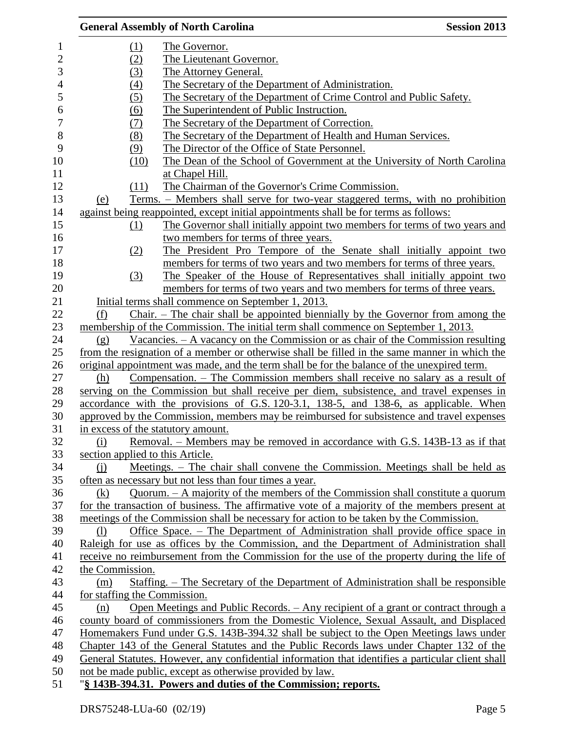|            |                                    | <b>General Assembly of North Carolina</b>                                                         | <b>Session 2013</b> |
|------------|------------------------------------|---------------------------------------------------------------------------------------------------|---------------------|
| 1          | <u>(1)</u>                         | The Governor.                                                                                     |                     |
| $\sqrt{2}$ | (2)                                | The Lieutenant Governor.                                                                          |                     |
|            | (3)                                | The Attorney General.                                                                             |                     |
|            | (4)                                | The Secretary of the Department of Administration.                                                |                     |
|            | (5)                                | The Secretary of the Department of Crime Control and Public Safety.                               |                     |
|            | (6)                                | The Superintendent of Public Instruction.                                                         |                     |
|            | (7)                                | The Secretary of the Department of Correction.                                                    |                     |
|            | (8)                                | The Secretary of the Department of Health and Human Services.                                     |                     |
|            | (9)                                | The Director of the Office of State Personnel.                                                    |                     |
|            | (10)                               | The Dean of the School of Government at the University of North Carolina                          |                     |
|            |                                    | at Chapel Hill.                                                                                   |                     |
|            | (11)                               | The Chairman of the Governor's Crime Commission.                                                  |                     |
|            | (e)                                | <u>Terms. – Members shall serve for two-year staggered terms, with no prohibition</u>             |                     |
|            |                                    | against being reappointed, except initial appointments shall be for terms as follows:             |                     |
|            | $\Omega$                           | The Governor shall initially appoint two members for terms of two years and                       |                     |
|            |                                    | two members for terms of three years.                                                             |                     |
|            | (2)                                | The President Pro Tempore of the Senate shall initially appoint two                               |                     |
|            |                                    | members for terms of two years and two members for terms of three years.                          |                     |
|            | (3)                                | The Speaker of the House of Representatives shall initially appoint two                           |                     |
|            |                                    | members for terms of two years and two members for terms of three years.                          |                     |
|            |                                    | Initial terms shall commence on September 1, 2013.                                                |                     |
|            | (f)                                | Chair. - The chair shall be appointed biennially by the Governor from among the                   |                     |
|            |                                    | membership of the Commission. The initial term shall commence on September 1, 2013.               |                     |
|            | (g)                                | Vacancies. $-$ A vacancy on the Commission or as chair of the Commission resulting                |                     |
|            |                                    | from the resignation of a member or otherwise shall be filled in the same manner in which the     |                     |
|            |                                    | original appointment was made, and the term shall be for the balance of the unexpired term.       |                     |
|            | (h)                                | Compensation. – The Commission members shall receive no salary as a result of                     |                     |
|            |                                    | serving on the Commission but shall receive per diem, subsistence, and travel expenses in         |                     |
|            |                                    | accordance with the provisions of G.S. 120-3.1, 138-5, and 138-6, as applicable. When             |                     |
|            |                                    | approved by the Commission, members may be reimbursed for subsistence and travel expenses         |                     |
|            | in excess of the statutory amount. |                                                                                                   |                     |
|            | (i)                                | Removal. – Members may be removed in accordance with G.S. 143B-13 as if that                      |                     |
|            | section applied to this Article.   |                                                                                                   |                     |
|            | $\Omega$                           | Meetings. – The chair shall convene the Commission. Meetings shall be held as                     |                     |
|            |                                    | often as necessary but not less than four times a year.                                           |                     |
|            | (k)                                | Quorum. $-$ A majority of the members of the Commission shall constitute a quorum                 |                     |
|            |                                    | for the transaction of business. The affirmative vote of a majority of the members present at     |                     |
|            |                                    | meetings of the Commission shall be necessary for action to be taken by the Commission.           |                     |
|            | (1)                                | Office Space. – The Department of Administration shall provide office space in                    |                     |
|            |                                    | Raleigh for use as offices by the Commission, and the Department of Administration shall          |                     |
|            |                                    | receive no reimbursement from the Commission for the use of the property during the life of       |                     |
|            | the Commission.                    |                                                                                                   |                     |
|            | (m)                                | Staffing. – The Secretary of the Department of Administration shall be responsible                |                     |
|            | for staffing the Commission.       |                                                                                                   |                     |
|            | (n)                                | Open Meetings and Public Records. - Any recipient of a grant or contract through a                |                     |
|            |                                    | county board of commissioners from the Domestic Violence, Sexual Assault, and Displaced           |                     |
|            |                                    | Homemakers Fund under G.S. 143B-394.32 shall be subject to the Open Meetings laws under           |                     |
|            |                                    | Chapter 143 of the General Statutes and the Public Records laws under Chapter 132 of the          |                     |
|            |                                    | General Statutes. However, any confidential information that identifies a particular client shall |                     |
|            |                                    | not be made public, except as otherwise provided by law.                                          |                     |
|            |                                    | "§ 143B-394.31. Powers and duties of the Commission; reports.                                     |                     |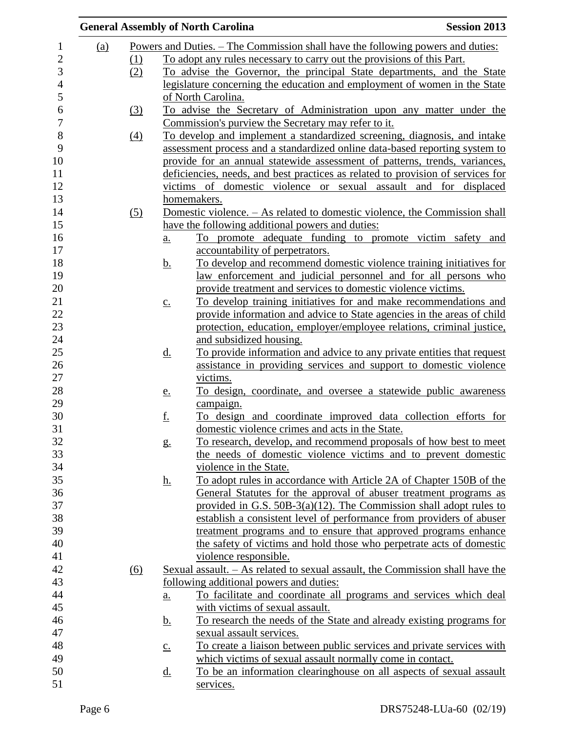|            |     |                   | <b>General Assembly of North Carolina</b>                                            | <b>Session 2013</b> |
|------------|-----|-------------------|--------------------------------------------------------------------------------------|---------------------|
| <u>(a)</u> |     |                   | Powers and Duties. – The Commission shall have the following powers and duties:      |                     |
|            | (1) |                   | To adopt any rules necessary to carry out the provisions of this Part.               |                     |
|            | (2) |                   | To advise the Governor, the principal State departments, and the State               |                     |
|            |     |                   | legislature concerning the education and employment of women in the State            |                     |
|            |     |                   | of North Carolina.                                                                   |                     |
|            | (3) |                   | To advise the Secretary of Administration upon any matter under the                  |                     |
|            |     |                   | Commission's purview the Secretary may refer to it.                                  |                     |
|            | (4) |                   | To develop and implement a standardized screening, diagnosis, and intake             |                     |
|            |     |                   | assessment process and a standardized online data-based reporting system to          |                     |
|            |     |                   | provide for an annual statewide assessment of patterns, trends, variances,           |                     |
|            |     |                   | deficiencies, needs, and best practices as related to provision of services for      |                     |
|            |     |                   | victims of domestic violence or sexual assault and for displaced                     |                     |
|            |     |                   | homemakers.                                                                          |                     |
|            | (5) |                   | Domestic violence. - As related to domestic violence, the Commission shall           |                     |
|            |     |                   | have the following additional powers and duties:                                     |                     |
|            |     | $\underline{a}$ . | To promote adequate funding to promote victim safety and                             |                     |
|            |     |                   | accountability of perpetrators.                                                      |                     |
|            |     | <u>b.</u>         | To develop and recommend domestic violence training initiatives for                  |                     |
|            |     |                   | law enforcement and judicial personnel and for all persons who                       |                     |
|            |     |                   | provide treatment and services to domestic violence victims.                         |                     |
|            |     | $\underline{c}$ . | To develop training initiatives for and make recommendations and                     |                     |
|            |     |                   | provide information and advice to State agencies in the areas of child               |                     |
|            |     |                   | protection, education, employer/employee relations, criminal justice,                |                     |
|            |     |                   | and subsidized housing.                                                              |                     |
|            |     | <u>d.</u>         | To provide information and advice to any private entities that request               |                     |
|            |     |                   | assistance in providing services and support to domestic violence                    |                     |
|            |     |                   | victims.                                                                             |                     |
|            |     | <u>e.</u>         | To design, coordinate, and oversee a statewide public awareness                      |                     |
|            |     |                   | campaign.                                                                            |                     |
|            |     | <u>f.</u>         | To design and coordinate improved data collection efforts for                        |                     |
|            |     |                   | domestic violence crimes and acts in the State.                                      |                     |
|            |     | $g_{\cdot}$       | To research, develop, and recommend proposals of how best to meet                    |                     |
|            |     |                   | the needs of domestic violence victims and to prevent domestic                       |                     |
|            |     |                   | violence in the State.                                                               |                     |
|            |     | <u>h.</u>         | To adopt rules in accordance with Article 2A of Chapter 150B of the                  |                     |
|            |     |                   | General Statutes for the approval of abuser treatment programs as                    |                     |
|            |     |                   | provided in G.S. $50B-3(a)(12)$ . The Commission shall adopt rules to                |                     |
|            |     |                   | establish a consistent level of performance from providers of abuser                 |                     |
|            |     |                   | treatment programs and to ensure that approved programs enhance                      |                     |
|            |     |                   | the safety of victims and hold those who perpetrate acts of domestic                 |                     |
|            |     |                   | violence responsible.                                                                |                     |
|            | (6) |                   | <u>Sexual assault. – As related to sexual assault, the Commission shall have the</u> |                     |
|            |     |                   | following additional powers and duties:                                              |                     |
|            |     | a.                | To facilitate and coordinate all programs and services which deal                    |                     |
|            |     |                   | with victims of sexual assault.                                                      |                     |
|            |     | <u>b.</u>         | To research the needs of the State and already existing programs for                 |                     |
|            |     |                   | sexual assault services.                                                             |                     |
|            |     | $\underline{C}$ . | To create a liaison between public services and private services with                |                     |
|            |     |                   | which victims of sexual assault normally come in contact.                            |                     |
|            |     | <u>d.</u>         | To be an information clearinghouse on all aspects of sexual assault                  |                     |
|            |     |                   | services.                                                                            |                     |
|            |     |                   |                                                                                      |                     |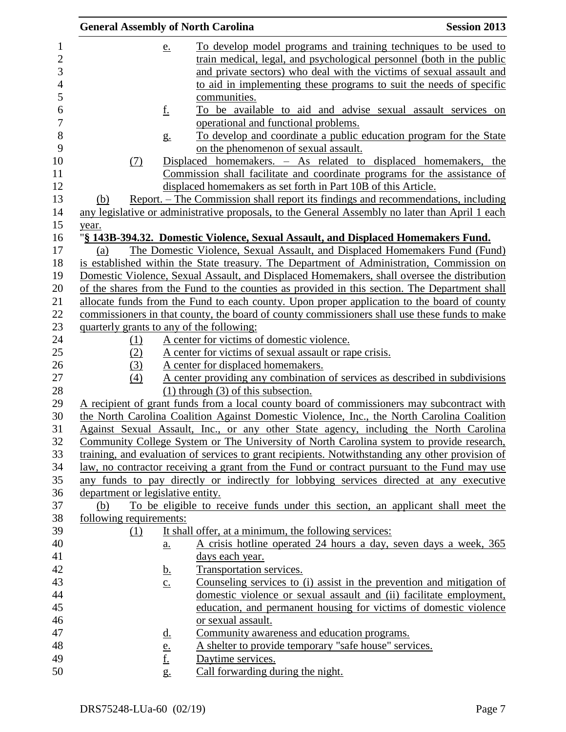|                                   |                   | <b>General Assembly of North Carolina</b>                                         | <b>Session 2013</b>                                                                                                                                                               |
|-----------------------------------|-------------------|-----------------------------------------------------------------------------------|-----------------------------------------------------------------------------------------------------------------------------------------------------------------------------------|
|                                   | <u>e.</u>         |                                                                                   | To develop model programs and training techniques to be used to                                                                                                                   |
|                                   |                   |                                                                                   | train medical, legal, and psychological personnel (both in the public                                                                                                             |
|                                   |                   |                                                                                   | and private sectors) who deal with the victims of sexual assault and                                                                                                              |
|                                   |                   |                                                                                   | to aid in implementing these programs to suit the needs of specific                                                                                                               |
|                                   |                   | communities.                                                                      |                                                                                                                                                                                   |
|                                   | <u>f.</u>         |                                                                                   | To be available to aid and advise sexual assault services on                                                                                                                      |
|                                   |                   | operational and functional problems.                                              |                                                                                                                                                                                   |
|                                   | g <sub>1</sub>    |                                                                                   | To develop and coordinate a public education program for the State                                                                                                                |
|                                   |                   | on the phenomenon of sexual assault.                                              |                                                                                                                                                                                   |
| (7)                               |                   |                                                                                   | Displaced homemakers. - As related to displaced homemakers, the                                                                                                                   |
|                                   |                   |                                                                                   | Commission shall facilitate and coordinate programs for the assistance of                                                                                                         |
|                                   |                   | displaced homemakers as set forth in Part 10B of this Article.                    |                                                                                                                                                                                   |
| (b)                               |                   |                                                                                   | Report. – The Commission shall report its findings and recommendations, including                                                                                                 |
|                                   |                   |                                                                                   | any legislative or administrative proposals, to the General Assembly no later than April 1 each                                                                                   |
| year.                             |                   |                                                                                   |                                                                                                                                                                                   |
|                                   |                   | "§ 143B-394.32. Domestic Violence, Sexual Assault, and Displaced Homemakers Fund. |                                                                                                                                                                                   |
| (a)                               |                   |                                                                                   | The Domestic Violence, Sexual Assault, and Displaced Homemakers Fund (Fund)                                                                                                       |
|                                   |                   |                                                                                   | is established within the State treasury. The Department of Administration, Commission on                                                                                         |
|                                   |                   |                                                                                   | Domestic Violence, Sexual Assault, and Displaced Homemakers, shall oversee the distribution                                                                                       |
|                                   |                   |                                                                                   | of the shares from the Fund to the counties as provided in this section. The Department shall                                                                                     |
|                                   |                   |                                                                                   | allocate funds from the Fund to each county. Upon proper application to the board of county                                                                                       |
|                                   |                   |                                                                                   | commissioners in that county, the board of county commissioners shall use these funds to make                                                                                     |
|                                   |                   | quarterly grants to any of the following:                                         |                                                                                                                                                                                   |
| (1)                               |                   | A center for victims of domestic violence.                                        |                                                                                                                                                                                   |
| (2)                               |                   | A center for victims of sexual assault or rape crisis.                            |                                                                                                                                                                                   |
| (3)                               |                   | A center for displaced homemakers.                                                |                                                                                                                                                                                   |
| (4)                               |                   |                                                                                   | A center providing any combination of services as described in subdivisions                                                                                                       |
|                                   |                   | $(1)$ through $(3)$ of this subsection.                                           |                                                                                                                                                                                   |
|                                   |                   |                                                                                   | A recipient of grant funds from a local county board of commissioners may subcontract with                                                                                        |
|                                   |                   |                                                                                   | the North Carolina Coalition Against Domestic Violence, Inc., the North Carolina Coalition                                                                                        |
|                                   |                   |                                                                                   | Against Sexual Assault, Inc., or any other State agency, including the North Carolina<br>Community College System or The University of North Carolina system to provide research, |
|                                   |                   |                                                                                   | training, and evaluation of services to grant recipients. Notwithstanding any other provision of                                                                                  |
|                                   |                   |                                                                                   | law, no contractor receiving a grant from the Fund or contract pursuant to the Fund may use                                                                                       |
|                                   |                   |                                                                                   | any funds to pay directly or indirectly for lobbying services directed at any executive                                                                                           |
| department or legislative entity. |                   |                                                                                   |                                                                                                                                                                                   |
| (b)                               |                   |                                                                                   | To be eligible to receive funds under this section, an applicant shall meet the                                                                                                   |
| following requirements:           |                   |                                                                                   |                                                                                                                                                                                   |
| (1)                               |                   | It shall offer, at a minimum, the following services:                             |                                                                                                                                                                                   |
|                                   | <u>a.</u>         |                                                                                   | A crisis hotline operated 24 hours a day, seven days a week, 365                                                                                                                  |
|                                   |                   | days each year.                                                                   |                                                                                                                                                                                   |
|                                   | <u>b.</u>         | Transportation services.                                                          |                                                                                                                                                                                   |
|                                   | $\underline{c}$ . |                                                                                   | Counseling services to (i) assist in the prevention and mitigation of                                                                                                             |
|                                   |                   |                                                                                   | domestic violence or sexual assault and (ii) facilitate employment,                                                                                                               |
|                                   |                   |                                                                                   | education, and permanent housing for victims of domestic violence                                                                                                                 |
|                                   |                   | or sexual assault.                                                                |                                                                                                                                                                                   |
|                                   | <u>d.</u>         | Community awareness and education programs.                                       |                                                                                                                                                                                   |
|                                   |                   | A shelter to provide temporary "safe house" services.                             |                                                                                                                                                                                   |
|                                   | <u>e.</u><br>f.   | Daytime services.                                                                 |                                                                                                                                                                                   |
|                                   | $g_{\cdot}$       | Call forwarding during the night.                                                 |                                                                                                                                                                                   |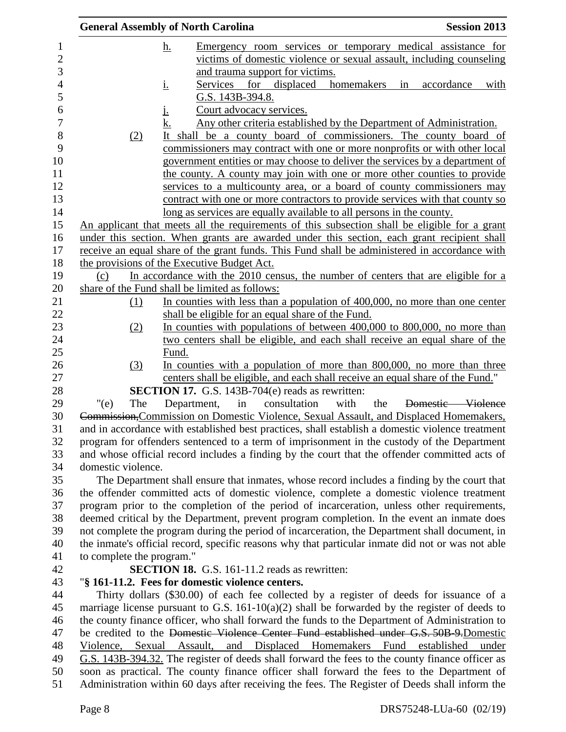|         |                           | <b>General Assembly of North Carolina</b>                                                                                                 |                                                                     |                  | <b>Session 2013</b>                                                  |
|---------|---------------------------|-------------------------------------------------------------------------------------------------------------------------------------------|---------------------------------------------------------------------|------------------|----------------------------------------------------------------------|
|         |                           | <u>h.</u>                                                                                                                                 |                                                                     |                  | Emergency room services or temporary medical assistance for          |
|         |                           |                                                                                                                                           |                                                                     |                  | victims of domestic violence or sexual assault, including counseling |
|         |                           |                                                                                                                                           | and trauma support for victims.                                     |                  |                                                                      |
|         |                           | Services<br><u>i.</u>                                                                                                                     | for displaced                                                       | homemakers<br>in | accordance<br>with                                                   |
|         |                           | G.S. 143B-394.8.                                                                                                                          |                                                                     |                  |                                                                      |
|         |                           | Court advocacy services.<br>Ŀ                                                                                                             |                                                                     |                  |                                                                      |
|         |                           | k.                                                                                                                                        | Any other criteria established by the Department of Administration. |                  |                                                                      |
|         | (2)                       | It shall be a county board of commissioners. The county board of                                                                          |                                                                     |                  |                                                                      |
|         |                           | commissioners may contract with one or more nonprofits or with other local                                                                |                                                                     |                  |                                                                      |
|         |                           | government entities or may choose to deliver the services by a department of                                                              |                                                                     |                  |                                                                      |
|         |                           | the county. A county may join with one or more other counties to provide                                                                  |                                                                     |                  |                                                                      |
|         |                           | services to a multicounty area, or a board of county commissioners may                                                                    |                                                                     |                  |                                                                      |
|         |                           | contract with one or more contractors to provide services with that county so                                                             |                                                                     |                  |                                                                      |
|         |                           | long as services are equally available to all persons in the county.                                                                      |                                                                     |                  |                                                                      |
|         |                           | An applicant that meets all the requirements of this subsection shall be eligible for a grant                                             |                                                                     |                  |                                                                      |
|         |                           | under this section. When grants are awarded under this section, each grant recipient shall                                                |                                                                     |                  |                                                                      |
|         |                           | receive an equal share of the grant funds. This Fund shall be administered in accordance with                                             |                                                                     |                  |                                                                      |
|         |                           | the provisions of the Executive Budget Act.                                                                                               |                                                                     |                  |                                                                      |
| (c)     |                           | In accordance with the 2010 census, the number of centers that are eligible for a                                                         |                                                                     |                  |                                                                      |
|         |                           | share of the Fund shall be limited as follows:                                                                                            |                                                                     |                  |                                                                      |
|         | (1)                       | In counties with less than a population of 400,000, no more than one center                                                               |                                                                     |                  |                                                                      |
|         |                           | shall be eligible for an equal share of the Fund.                                                                                         |                                                                     |                  |                                                                      |
|         | (2)                       | In counties with populations of between 400,000 to 800,000, no more than                                                                  |                                                                     |                  |                                                                      |
|         |                           | two centers shall be eligible, and each shall receive an equal share of the                                                               |                                                                     |                  |                                                                      |
|         |                           | Fund.                                                                                                                                     |                                                                     |                  |                                                                      |
|         | (3)                       | In counties with a population of more than 800,000, no more than three                                                                    |                                                                     |                  |                                                                      |
|         |                           | centers shall be eligible, and each shall receive an equal share of the Fund."<br><b>SECTION 17.</b> G.S. 143B-704(e) reads as rewritten: |                                                                     |                  |                                                                      |
| " $(e)$ | The                       | in<br>Department,                                                                                                                         | consultation<br>with                                                | the              | Domestic Violence                                                    |
|         |                           | Commission, Commission on Domestic Violence, Sexual Assault, and Displaced Homemakers,                                                    |                                                                     |                  |                                                                      |
|         |                           | and in accordance with established best practices, shall establish a domestic violence treatment                                          |                                                                     |                  |                                                                      |
|         |                           | program for offenders sentenced to a term of imprisonment in the custody of the Department                                                |                                                                     |                  |                                                                      |
|         |                           | and whose official record includes a finding by the court that the offender committed acts of                                             |                                                                     |                  |                                                                      |
|         | domestic violence.        |                                                                                                                                           |                                                                     |                  |                                                                      |
|         |                           | The Department shall ensure that inmates, whose record includes a finding by the court that                                               |                                                                     |                  |                                                                      |
|         |                           | the offender committed acts of domestic violence, complete a domestic violence treatment                                                  |                                                                     |                  |                                                                      |
|         |                           | program prior to the completion of the period of incarceration, unless other requirements,                                                |                                                                     |                  |                                                                      |
|         |                           | deemed critical by the Department, prevent program completion. In the event an inmate does                                                |                                                                     |                  |                                                                      |
|         |                           | not complete the program during the period of incarceration, the Department shall document, in                                            |                                                                     |                  |                                                                      |
|         |                           | the inmate's official record, specific reasons why that particular inmate did not or was not able                                         |                                                                     |                  |                                                                      |
|         | to complete the program." |                                                                                                                                           |                                                                     |                  |                                                                      |
|         |                           | <b>SECTION 18.</b> G.S. 161-11.2 reads as rewritten:                                                                                      |                                                                     |                  |                                                                      |
|         |                           | "§ 161-11.2. Fees for domestic violence centers.                                                                                          |                                                                     |                  |                                                                      |
|         |                           | Thirty dollars (\$30.00) of each fee collected by a register of deeds for issuance of a                                                   |                                                                     |                  |                                                                      |
|         |                           | marriage license pursuant to G.S. $161-10(a)(2)$ shall be forwarded by the register of deeds to                                           |                                                                     |                  |                                                                      |
|         |                           | the county finance officer, who shall forward the funds to the Department of Administration to                                            |                                                                     |                  |                                                                      |
|         |                           | be credited to the <del>Domestic Violence Center Fund established under G.S. 50B 9.</del> Domestic                                        |                                                                     |                  |                                                                      |
|         |                           | Violence, Sexual Assault, and Displaced Homemakers Fund established under                                                                 |                                                                     |                  |                                                                      |
|         |                           | G.S. 143B-394.32. The register of deeds shall forward the fees to the county finance officer as                                           |                                                                     |                  |                                                                      |
|         |                           | soon as practical. The county finance officer shall forward the fees to the Department of                                                 |                                                                     |                  |                                                                      |
|         |                           | Administration within 60 days after receiving the fees. The Register of Deeds shall inform the                                            |                                                                     |                  |                                                                      |